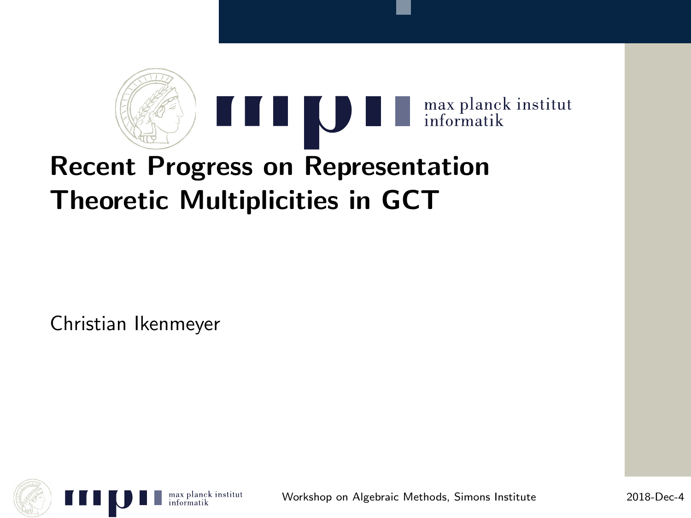

# Theoretic Multiplicities in GCT

Christian Ikenmeyer



Workshop on Algebraic Methods, Simons Institute 2018-Dec-4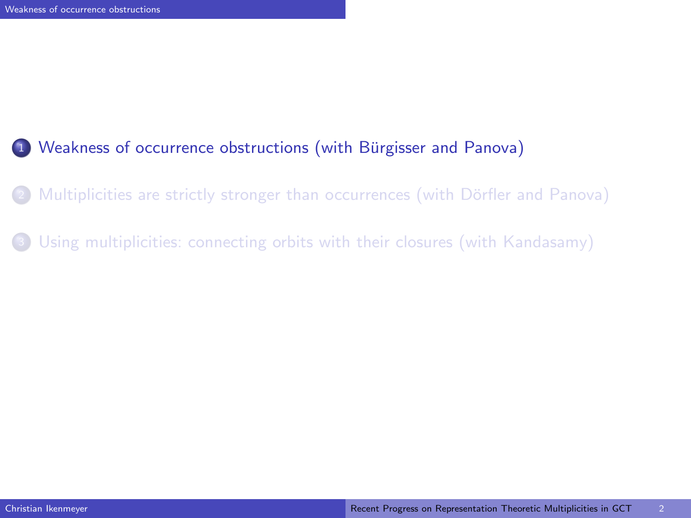## 1 Weakness of occurrence obstructions (with Bürgisser and Panova)

- Multiplicities are strictly stronger than occurrences (with Dörfler and Panova)
- <span id="page-1-0"></span><sup>3</sup> [Using multiplicities: connecting orbits with their closures \(with Kandasamy\)](#page-13-0)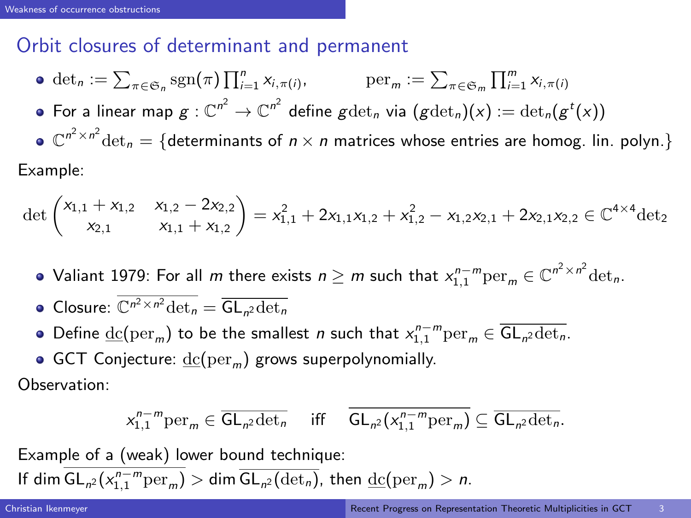# Orbit closures of determinant and permanent

- $\det_n := \sum_{\pi \in \mathfrak{S}_n} \operatorname{sgn}(\pi) \prod_{i=1}^n x_{i,\pi(i)}, \qquad \text{per}_m := \sum_{\pi \in \mathfrak{S}_m} \prod_{i=1}^m x_{i,\pi(i)}$
- For a linear map  $g: \mathbb{C}^{n^2} \to \mathbb{C}^{n^2}$  define  $g \mathrm{det}_n$  via  $(g \mathrm{det}_n)(x) := \mathrm{det}_n(g^t(x))$
- $\mathbb{C}^{n^2 \times n^2}$ det $_n = \{$ determinants of  $n \times n$  matrices whose entries are homog. Iin. polyn.}

Example:

$$
\det\begin{pmatrix}x_{1,1}+x_{1,2}&x_{1,2}-2x_{2,2}\\x_{2,1}&x_{1,1}+x_{1,2}\end{pmatrix}=x_{1,1}^2+2x_{1,1}x_{1,2}+x_{1,2}^2-x_{1,2}x_{2,1}+2x_{2,1}x_{2,2}\in\mathbb{C}^{4\times4}\mathrm{det}_2
$$

- Valiant 1979: For all  $m$  there exists  $n\geq m$  such that  $x^{n-m}_{1,1}\textup{per}_m\in\mathbb C^{n^2\times n^2}\textup{det}_n.$
- Closure:  $\mathbb{C}^{n^2 \times n^2} \det_n = \overline{\mathsf{GL}_{n^2} \det_n}$
- Define  $\underline{\text{dc}}(\text{per}_m)$  to be the smallest *n* such that  $x_{1,1}^{n-m}\text{per}_m \in \overline{\text{GL}_{n^2}\text{det}_n}$ .
- GCT Conjecture:  $dc(per_m)$  grows superpolynomially.

Observation:

<span id="page-2-0"></span>
$$
x_{1,1}^{n-m}\mathrm{per}_m\in \overline{\mathsf{GL}_{n^2}\mathrm{det}_n}\quad \ \, \text{iff}\quad \ \overline{\mathsf{GL}_{n^2}(x_{1,1}^{n-m}\mathrm{per}_m)}\subseteq \overline{\mathsf{GL}_{n^2}\mathrm{det}_n}.
$$

Example of a (weak) lower bound technique:

If dim  $\mathsf{GL}_{n^2}(x_{1,1}^{n-m}\textup{per}_m) > \mathsf{dim} \ \overline{\mathsf{GL}_{n^2}(\textup{det}_n)}$ , then  $\underline{\textup{dc}}(\textup{per}_m) > n$ .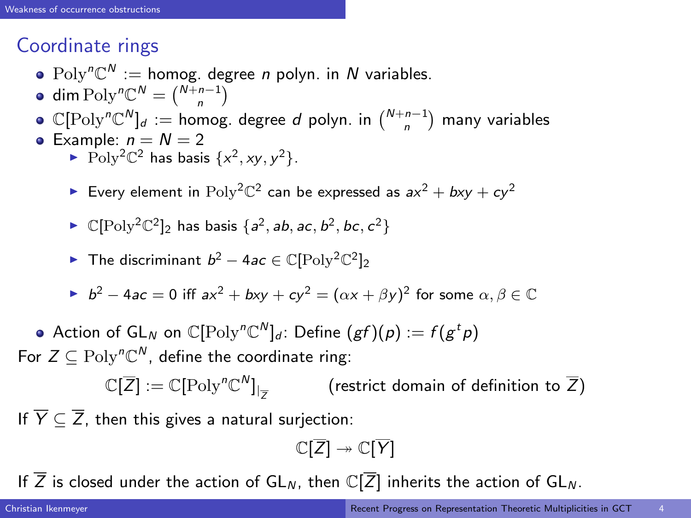# Coordinate rings

- $Poly<sup>n</sup>C<sup>N</sup> := homog.$  degree *n* polyn. in *N* variables.
- dim Poly<sup>n</sup> $\mathbb{C}^N = \binom{N+n-1}{n}$
- $\mathbb{C}[\text{Poly}^n\mathbb{C}^N]_d := \text{homog. degree } d \text{ polynomial in } \binom{N+n-1}{n}$  many variables
- Example:  $n = N = 2$ 
	- Poly<sup>2</sup> $\mathbb{C}^2$  has basis  $\{x^2, xy, y^2\}$ .
	- Every element in  $Poly^2\mathbb{C}^2$  can be expressed as  $ax^2 + bxy + cy^2$
	- $\blacktriangleright \mathbb{C}[\text{Poly}^2\mathbb{C}^2]_2$  has basis  $\{a^2, ab, ac, b^2, bc, c^2\}$

• The discriminant 
$$
b^2 - 4ac \in \mathbb{C}[\text{Poly}^2\mathbb{C}^2]_2
$$

- ►  $b^2 4ac = 0$  iff  $ax^2 + bxy + cy^2 = (\alpha x + \beta y)^2$  for some  $\alpha, \beta \in \mathbb{C}$
- Action of  $\mathsf{GL}_N$  on  $\mathbb C[\mathrm{Poly}^n\mathbb C^N]_d$ : Define  $(gf)(\rho):=f(g^tp)$ For  $Z \subseteq \mathrm{Poly}^n\mathbb{C}^N$ , define the coordinate ring:

 $\mathbb{C}[\overline{Z}] := \mathbb{C}[\mathrm{Poly}^n \mathbb{C}^N]_{\vert}$ Z (restrict domain of definition to  $\overline{Z}$ )

If  $\overline{Y} \subset \overline{Z}$ , then this gives a natural surjection:

<span id="page-3-0"></span>
$$
\mathbb{C}[\overline{Z}] \twoheadrightarrow \mathbb{C}[\overline{Y}]
$$

If  $\overline{Z}$  is closed under the action of  $GL_N$ , then  $\mathbb{C}[\overline{Z}]$  inherits the action of  $GL_N$ .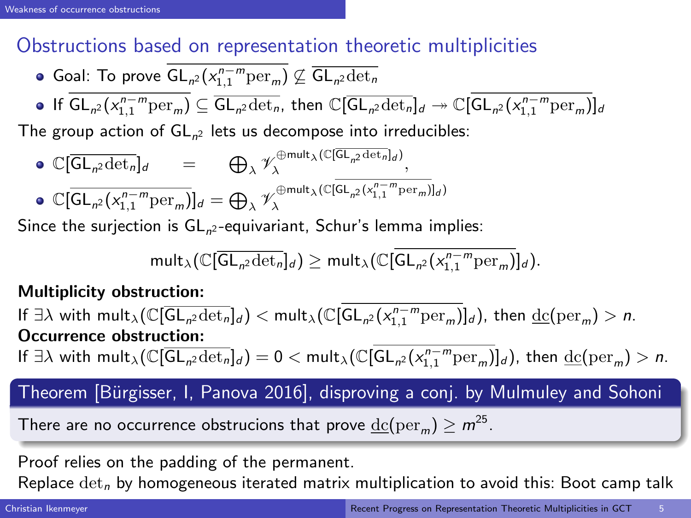# Obstructions based on representation theoretic multiplicities

- Goal: To prove  $\mathsf{GL}_{n^2}(x_{1,1}^{n-m}\textup{per}_m) \not\subseteq \overline{\mathsf{GL}_{n^2}\textup{det}_n}$
- If  $GL_{n^2}(x_{1,1}^{n-m}per_m) \subseteq \overline{GL_{n^2}\det_n}$ , then  $\mathbb{C}[\overline{GL_{n^2}\det_n}]_d \twoheadrightarrow \mathbb{C}[GL_{n^2}(x_{1,1}^{n-m}per_m)]_d$

The group action of  $GL_{n^2}$  lets us decompose into irreducibles:

$$
\begin{array}{lll}\n\bullet \; & \mathbb{C}[\overline{\mathsf{GL}_{n^2}\mathrm{det}_n}]_d & = & \bigoplus_{\lambda} \mathscr{V}_{\lambda}^{\oplus \mathsf{mult}_{\lambda}(\mathbb{C}[\overline{\mathsf{GL}}_{n^2}\mathrm{det}_n]_d)}, \\
\bullet \; & \mathbb{C}[\overline{\mathsf{GL}}_{n^2}(x_{1,1}^{n-m}\mathrm{per}_m)]_d = \bigoplus_{\lambda} \mathscr{V}_{\lambda}^{\oplus \mathsf{mult}_{\lambda}(\mathbb{C}[\overline{\mathsf{GL}}_{n^2}(x_{1,1}^{n-m}\mathrm{per}_m)]_d)}\n\end{array}
$$

Since the surjection is  $\mathsf{GL}_{n^2}$ -equivariant, Schur's lemma implies:

<span id="page-4-0"></span>
$$
\mathsf{mult}_{\lambda}(\mathbb{C}[\overline{\mathsf{GL}_{n^2}\text{det}_n}]_d)\geq \mathsf{mult}_{\lambda}(\mathbb{C}[\overline{\mathsf{GL}_{n^2}(x_{1,1}^{n-m}\text{per}_m)}]_d).
$$

#### Multiplicity obstruction:

If  $\exists \lambda$  with  $\mathsf{mult}_{\lambda}(\mathbb{C}[\overline{\mathsf{GL}_{n^2}{\det_n}}]_d) < \mathsf{mult}_{\lambda}(\mathbb{C}[\mathsf{GL}_{n^2}({x^{n-m}_{1,1}}{\mathrm{per}}_m)]_d)$ , then  $\underline{\mathrm{dc}}(\mathrm{per}_m) > n$ . Occurrence obstruction:

If  $\exists \lambda$  with  $\textsf{mult}_{\lambda}(\mathbb{C}[\overline{\textsf{GL}_{n^2}\text{det}_n}]_d)=0<\textsf{mult}_{\lambda}(\mathbb{C}[\textsf{GL}_{n^2}(x_{1,1}^{n-m}\text{per}_m)]_d)$ , then  $\underline{\text{dc}}(\text{per}_m)>n.$ 

# Theorem [Bürgisser, I, Panova 2016], disproving a conj. by Mulmuley and Sohoni

There are no occurrence obstrucions that prove  $\underline{\mathrm{dc}}(\mathrm{per}_m) \geq m^{25}.$ 

Proof relies on the padding of the permanent.

Replace  $\det_n$  by homogeneous iterated matrix multiplication to avoid this: Boot camp talk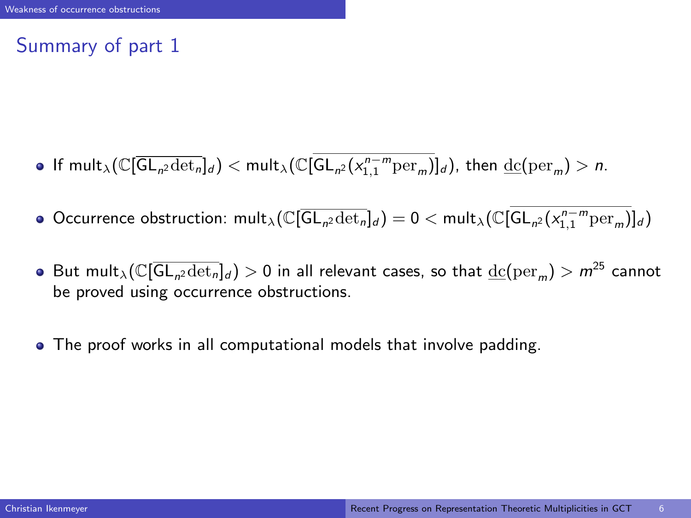# Summary of part 1

- If  $\text{mult}_{\lambda}(\mathbb{C}[\overline{\textsf{GL}_{n^2}\text{det}_n}]_d) < \text{mult}_{\lambda}(\mathbb{C}[\textsf{GL}_{n^2}(x_{1,1}^{n-m}\text{per}_m)]_d)$ , then  $\underline{\text{dc}}(\text{per}_m) > n$ .
- Occurrence obstruction:  $\text{mult}_{\lambda}(\mathbb{C}[\overline{\text{GL}_{n^2}\text{det}_n}]_d) = 0 < \text{mult}_{\lambda}(\mathbb{C}[\text{GL}_{n^2}(x_{1,1}^{n-m}\text{per}_m)]_d)$
- But mult $_\lambda(\mathbb{C}[\overline{{\mathsf{GL}}_n{\mathsf{2det}}_n]_d)>0$  in all relevant cases, so that  $\underline{{\rm dc}}(\text{per}_m)>m^{25}$  cannot be proved using occurrence obstructions.
- <span id="page-5-0"></span>The proof works in all computational models that involve padding.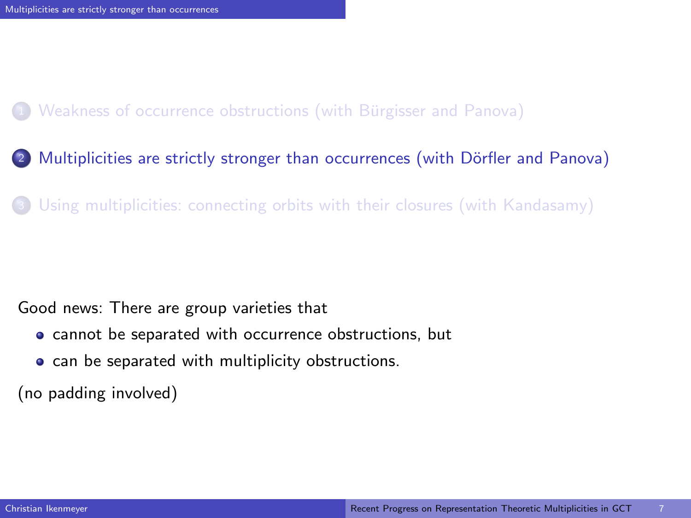#### 1 Weakness of occurrence obstructions (with Bürgisser and Panova)

- 2 Multiplicities are strictly stronger than occurrences (with Dörfler and Panova)
- [Using multiplicities: connecting orbits with their closures \(with Kandasamy\)](#page-13-0)

#### Good news: There are group varieties that

- cannot be separated with occurrence obstructions, but
- <span id="page-6-0"></span>• can be separated with multiplicity obstructions.

(no padding involved)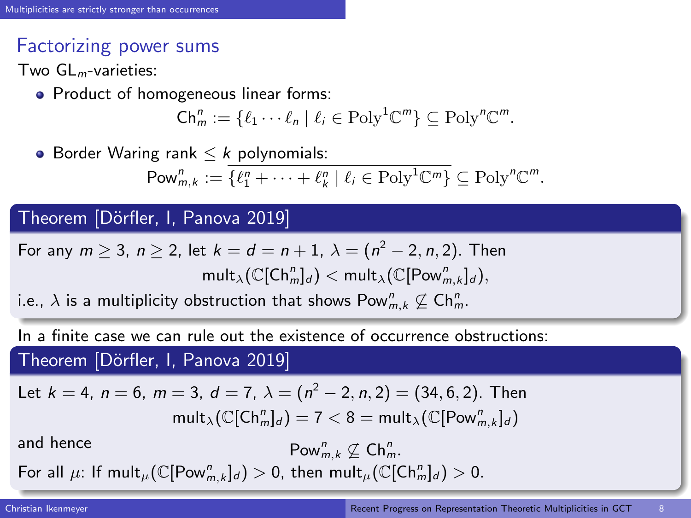# Factorizing power sums

Two  $GL<sub>m</sub>$ -varieties:

• Product of homogeneous linear forms:

$$
\mathsf{Ch}_m^n := \{ \ell_1 \cdots \ell_n \mid \ell_i \in \mathrm{Poly}^1 \mathbb{C}^m \} \subseteq \mathrm{Poly}^n \mathbb{C}^m.
$$

• Border Waring rank  $\leq k$  polynomials:

$$
\mathsf{Pow}_{m,k}^n := \overline{\{\ell_1^n + \cdots + \ell_k^n \mid \ell_i \in \mathrm{Poly}^1\mathbb{C}^m\}} \subseteq \mathrm{Poly}^n\mathbb{C}^m.
$$

#### Theorem [Dörfler, I, Panova 2019]

For any 
$$
m \ge 3
$$
,  $n \ge 2$ , let  $k = d = n + 1$ ,  $\lambda = (n^2 - 2, n, 2)$ . Then  
\n
$$
\text{mult}_{\lambda}(\mathbb{C}[\text{Ch}^n_m]_d) < \text{mult}_{\lambda}(\mathbb{C}[\text{Pow}^m_{m,k}]_d),
$$

i.e.,  $\lambda$  is a multiplicity obstruction that shows  $\mathsf{Pow}_{m,k}^n \not\subseteq \mathsf{Ch}_{m}^n$ .

In a finite case we can rule out the existence of occurrence obstructions:

Theorem [Dörfler, I, Panova 2019]

Let 
$$
k = 4
$$
,  $n = 6$ ,  $m = 3$ ,  $d = 7$ ,  $\lambda = (n^2 - 2, n, 2) = (34, 6, 2)$ . Then  
\n
$$
\text{mult}_{\lambda}(\mathbb{C}[\text{Ch}_{m}^{n}]_{d}) = 7 < 8 = \text{mult}_{\lambda}(\mathbb{C}[\text{Pow}_{m,k}^{n}]_{d})
$$

and hence

<span id="page-7-0"></span> $_{m,k}^n \not\subseteq \mathsf{Ch}_{m}^n$ .

For all  $\mu$ : If  $\textsf{mult}_{\mu}(\mathbb{C}[\textsf{Pow}_{m,k}^n]_d) > 0$ , then  $\textsf{mult}_{\mu}(\mathbb{C}[\textsf{Ch}_m^n]_d) > 0$ .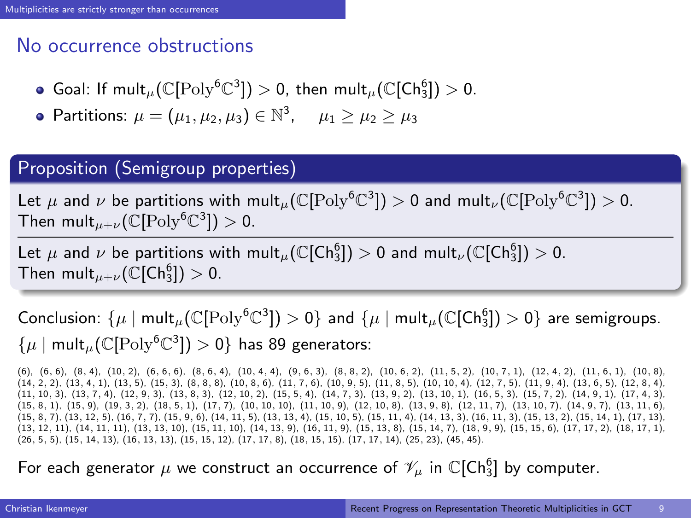# No occurrence obstructions

- Goal: If  $\mathsf{mult}_{\mu}(\mathbb{C}[\mathrm{Poly}^6\mathbb{C}^3]) > 0$ , then  $\mathsf{mult}_{\mu}(\mathbb{C}[\mathsf{Ch}_3^6]) > 0$ .
- Partitions:  $\mu = (\mu_1, \mu_2, \mu_3) \in \mathbb{N}^3$ ,  $\mu_1 \ge \mu_2 \ge \mu_3$

#### Proposition (Semigroup properties)

Let  $\mu$  and  $\nu$  be partitions with mult $_{\mu}(\mathbb{C}[\text{Poly}^6\mathbb{C}^3])>0$  and mult $_{\nu}(\mathbb{C}[\text{Poly}^6\mathbb{C}^3])>0.$ Then  $\text{mult}_{\mu+\nu}(\mathbb{C}[\text{Poly}^6\mathbb{C}^3])>0.$ 

Let  $\mu$  and  $\nu$  be partitions with mult $_{\mu}(\mathbb{C}[\mathsf{Ch}_3^6])>0$  and mult $_{\nu}(\mathbb{C}[\mathsf{Ch}_3^6])>0.$ Then  $\mathsf{mult}_{\mu+\nu}(\mathbb{C}[\mathsf{Ch}_3^6])>0.$ 

Conclusion:  $\{\mu \mid \mathsf{mult}_{\mu}(\mathbb{C}[\text{Poly}^6\mathbb{C}^3]) > 0\}$  and  $\{\mu \mid \mathsf{mult}_{\mu}(\mathbb{C}[\textsf{Ch}_3^6]) > 0\}$  are semigroups.  $\{\mu \mid \mathsf{mult}_{\mu}(\mathbb{C}[\mathrm{Poly}^6\mathbb{C}^3]) > 0\}$  has 89 generators:

(6), (6, 6), (8, 4), (10, 2), (6, 6, 6), (8, 6, 4), (10, 4, 4), (9, 6, 3), (8, 8, 2), (10, 6, 2), (11, 5, 2), (10, 7, 1), (12, 4, 2), (11, 6, 1), (10, 8),  $(14, 2, 2)$ ,  $(13, 4, 1)$ ,  $(13, 5)$ ,  $(15, 3)$ ,  $(8, 8, 8)$ ,  $(10, 8, 6)$ ,  $(11, 7, 6)$ ,  $(10, 9, 5)$ ,  $(11, 8, 5)$ ,  $(10, 10, 4)$ ,  $(12, 7, 5)$ ,  $(11, 9, 4)$ ,  $(13, 6, 5)$ ,  $(12, 8, 4)$ (11, 10, 3), (13, 7, 4), (12, 9, 3), (13, 8, 3), (12, 10, 2), (15, 5, 4), (14, 7, 3), (13, 9, 2), (13, 10, 1), (16, 5, 3), (15, 7, 2), (14, 9, 1), (17, 4, 3),  $(15, 8, 1)$ ,  $(15, 9)$ ,  $(19, 3, 2)$ ,  $(18, 5, 1)$ ,  $(17, 7)$ ,  $(10, 10, 10)$ ,  $(11, 10, 9)$ ,  $(12, 10, 8)$ ,  $(13, 9, 8)$ ,  $(12, 11, 7)$ ,  $(13, 10, 7)$ ,  $(14, 9, 7)$ ,  $(13, 11, 6)$ (15, 8, 7), (13, 12, 5), (16, 7, 7), (15, 9, 6), (14, 11, 5), (13, 13, 4), (15, 10, 5), (15, 11, 4), (14, 13, 3), (16, 11, 3), (15, 13, 2), (15, 14, 1), (17, 13), (13, 12, 11), (14, 11, 11), (13, 13, 10), (15, 11, 10), (14, 13, 9), (16, 11, 9), (15, 13, 8), (15, 14, 7), (18, 9, 9), (15, 15, 6), (17, 17, 2), (18, 17, 1), (26, 5, 5), (15, 14, 13), (16, 13, 13), (15, 15, 12), (17, 17, 8), (18, 15, 15), (17, 17, 14), (25, 23), (45, 45).

<span id="page-8-0"></span>For each generator  $\mu$  we construct an occurrence of  $\mathscr{V}_{\mu}$  in  $\mathbb{C}[\mathsf{Ch}_3^6]$  by computer.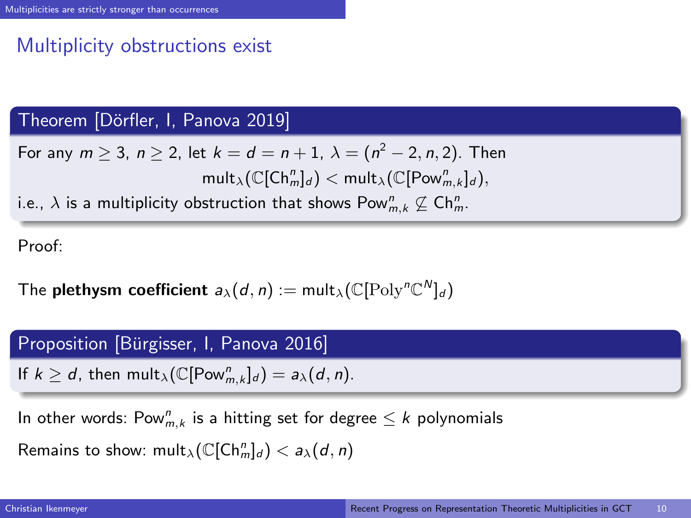# Multiplicity obstructions exist

## Theorem [Dörfler, I, Panova 2019]

For any  $m\geq 3$ ,  $n\geq 2$ , let  $k=d=n+1,~ \lambda=(n^2-2,n,2).$  Then  $\mathsf{mult}_{\lambda} (\mathbb{C}[\mathsf{Ch}^n_m]_d) < \mathsf{mult}_{\lambda} (\mathbb{C}[\mathsf{Pow}^n_{m,k}]_d),$ 

i.e.,  $\lambda$  is a multiplicity obstruction that shows  $\mathsf{Pow}_{m,k}^n \not\subseteq \mathsf{Ch}_m^n.$ 

Proof:

The plethysm coefficient  $a_\lambda(d, n) := \text{mult}_\lambda(\mathbb{C}[\text{Poly}^n\mathbb{C}^N]_d)$ 

#### Proposition [Bürgisser, I, Panova 2016]

If  $k \ge d$ , then  $\text{mult}_{\lambda}(\mathbb{C}[\text{Pow}_{m,k}^n]_d) = a_{\lambda}(d,n)$ .

In other words:  $\mathsf{Pow}_{m,k}^n$  is a hitting set for degree  $\leq k$  polynomials

<span id="page-9-0"></span>Remains to show:  $\text{mult}_{\lambda}(\mathbb{C}[\mathsf{Ch}^n_m]_d) < a_{\lambda}(d,n)$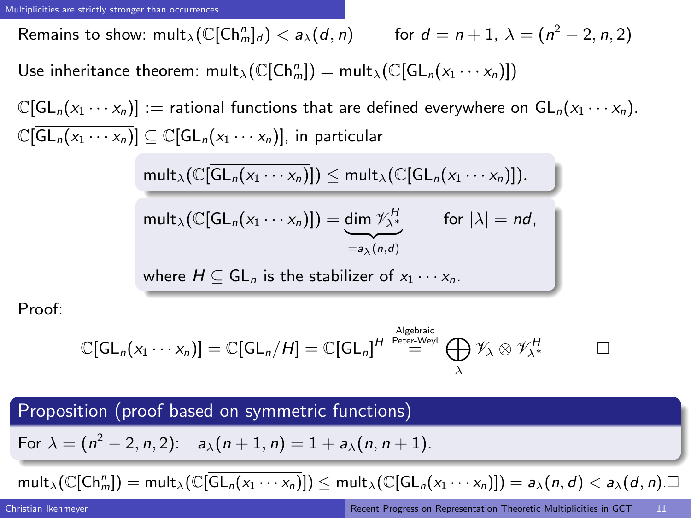Remains to show:  $\textsf{mult}_{\lambda}(\mathbb{C}[\mathsf{Ch}^n_m]_d) < a_{\lambda}(d,n)$  for  $d=n+1, \: \lambda=(n^2-2,n,2)$ Use inheritance theorem:  ${\sf mult}_\lambda(\mathbb{C}[\mathsf{Ch}_m^n]) = {\sf mult}_\lambda(\mathbb{C}[\overline{\mathsf{GL}_n(x_1\cdots x_n)}])$ 

 $\mathbb{C}[GL_n(x_1 \cdots x_n)] :=$  rational functions that are defined everywhere on  $GL_n(x_1 \cdots x_n)$ .  $\mathbb{C}[\overline{GL_n(x_1\cdots x_n)}] \subseteq \mathbb{C}[GL_n(x_1\cdots x_n)]$ , in particular

$$
\frac{\text{mult}_{\lambda}(\mathbb{C}[\overline{\text{GL}_{n}(x_{1}\cdots x_{n})}]) \leq \text{mult}_{\lambda}(\mathbb{C}[\text{GL}_{n}(x_{1}\cdots x_{n})]).}{\text{mult}_{\lambda}(\mathbb{C}[\text{GL}_{n}(x_{1}\cdots x_{n})]) = \underbrace{\text{dim }\mathscr{V}_{\lambda^{+}}^{H}}_{=a_{\lambda}(n,d)} \quad \text{for } |\lambda| = nd,}
$$
\nwhere  $H \subseteq \text{GL}_{n}$  is the stabilizer of  $x_{1}\cdots x_{n}$ .

Proof:

<span id="page-10-0"></span>
$$
\mathbb{C}[{\mathsf{GL}}_n(x_1\cdots x_n)] = \mathbb{C}[{\mathsf{GL}}_n/H] = \mathbb{C}[{\mathsf{GL}}_n]^H \stackrel{\scriptscriptstyle \mathsf{A} \mathsf{Igebraic}}{=} \bigoplus_{\lambda} \mathscr{V}_{\lambda} \otimes \mathscr{V}_{\lambda^*}^H \qquad \qquad \Box
$$

Proposition (proof based on symmetric functions)

For  $\lambda = (n^2 - 2, n, 2)$ :  $a_\lambda(n + 1, n) = 1 + a_\lambda(n, n + 1)$ .

$$
\mathsf{mult}_{\lambda}(\mathbb{C}[\mathsf{Ch}^n_m]) = \mathsf{mult}_{\lambda}(\mathbb{C}[\overline{\mathsf{GL}_n(x_1\cdots x_n)}]) \le \mathsf{mult}_{\lambda}(\mathbb{C}[\mathsf{GL}_n(x_1\cdots x_n)]) = a_{\lambda}(n,d) < a_{\lambda}(d,n) \square
$$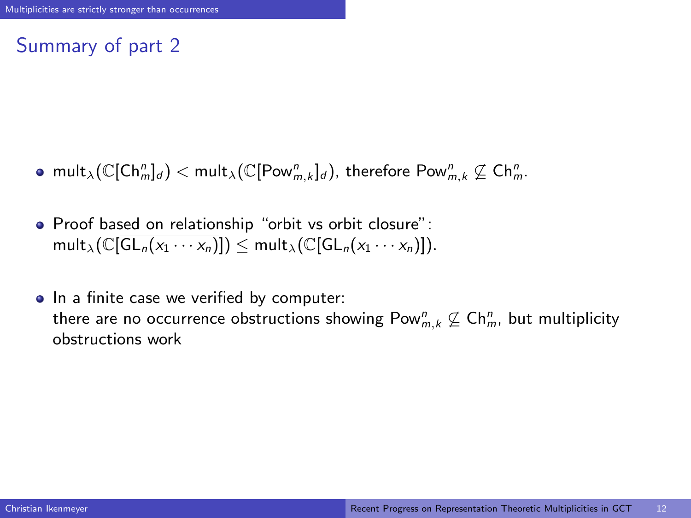# Summary of part 2

- $\mathsf{mult}_{\lambda} (\mathbb{C}[\mathsf{Ch}^n_m]_d) < \mathsf{mult}_{\lambda} (\mathbb{C}[\mathsf{Pow}^n_{m,k}]_d),$  therefore  $\mathsf{Pow}^n_{m,k} \not\subseteq \mathsf{Ch}^n_m.$
- Proof based on relationship "orbit vs orbit closure":  $mult_{\lambda}(\mathbb{C}[\overline{GL_n(x_1\cdots x_n)}])$  <  $mult_{\lambda}(\mathbb{C}[GL_n(x_1\cdots x_n)])$ .
- <span id="page-11-0"></span>• In a finite case we verified by computer: there are no occurrence obstructions showing  $\mathsf{Pow}^n_{m,k} \not\subseteq \mathsf{Ch}^n_m$ , but multiplicity obstructions work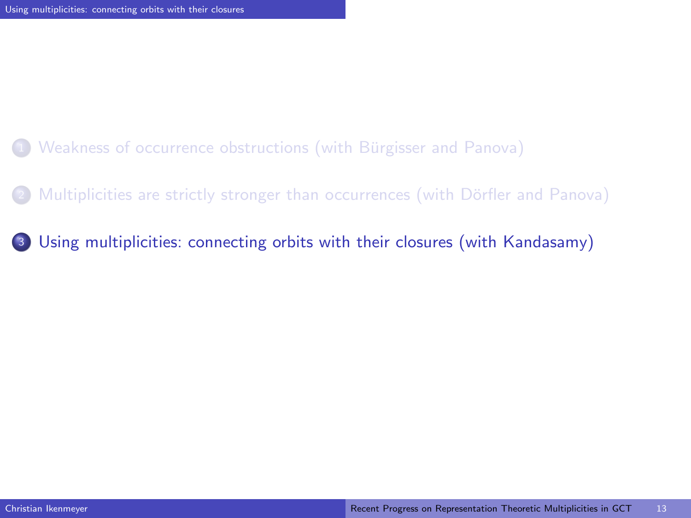- Weakness of occurrence obstructions (with Bürgisser and Panova)
- Multiplicities are strictly stronger than occurrences (with Dörfler and Panova)
- <span id="page-12-0"></span><sup>3</sup> [Using multiplicities: connecting orbits with their closures \(with Kandasamy\)](#page-13-0)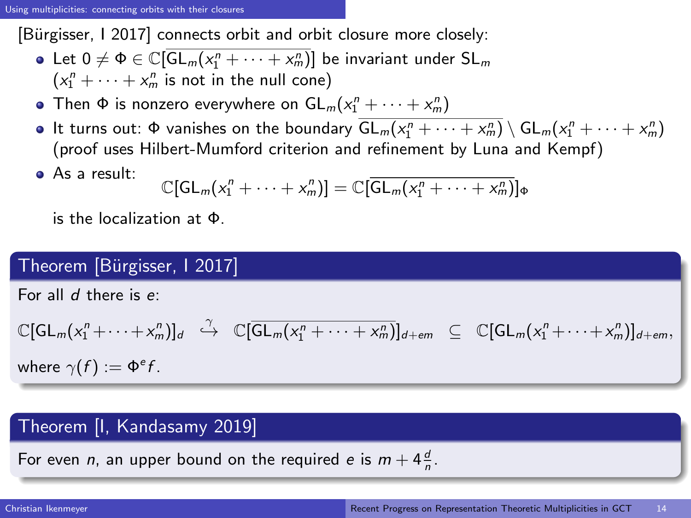[Bürgisser, I 2017] connects orbit and orbit closure more closely:

- Let  $0 \neq \Phi \in \mathbb{C}[\overline{\mathsf{GL}_m(x_1^n+\cdots+x_m^n)}]$  be invariant under  $\mathsf{SL}_m$  $(x_1^n + \cdots + x_m^n)$  is not in the null cone)
- Then  $\Phi$  is nonzero everywhere on  $GL_m(x_1^n + \cdots + x_m^n)$
- It turns out:  $\Phi$  vanishes on the boundary  $\overline{GL_m(x_1^n + \cdots + x_m^n)} \setminus GL_m(x_1^n + \cdots + x_m^n)$ (proof uses Hilbert-Mumford criterion and refinement by Luna and Kempf)
- As a result:

<span id="page-13-0"></span>
$$
\mathbb{C}[GL_m(x_1^n+\cdots+x_m^n)] = \mathbb{C}[\overline{GL_m(x_1^n+\cdots+x_m^n)}]_{\Phi}
$$

is the localization at Φ.

# Theorem [Bürgisser, 12017]

For all  $d$  there is  $e$ :

$$
\mathbb{C}[GL_m(x_1^n+\cdots+x_m^n)]_d \stackrel{\gamma}{\hookrightarrow} \mathbb{C}[\overline{GL_m(x_1^n+\cdots+x_m^n)}]_{d+em} \subseteq \mathbb{C}[GL_m(x_1^n+\cdots+x_m^n)]_{d+em},
$$
  
where  $\gamma(f) := \Phi^e f$ .

## Theorem [I, Kandasamy 2019]

For even *n*, an upper bound on the required *e* is  $m + 4\frac{d}{n}$ .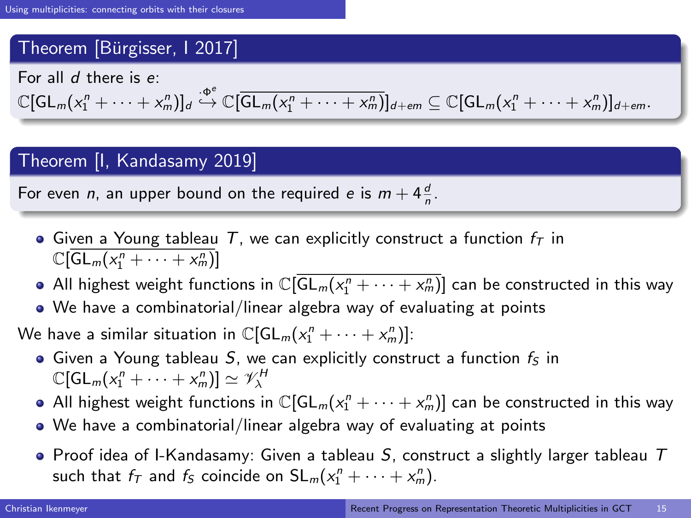# Theorem [Bürgisser, 1 2017]

For all  $d$  there is  $e$ :

 $\mathbb{C}[\mathsf{GL}_m(x_1^n+\cdots+x_m^n)]_d \stackrel{\cdot \Phi^e}{\hookrightarrow} \mathbb{C}[\overline{\mathsf{GL}_m(x_1^n+\cdots+x_m^n)}]_{d+em} \subseteq \mathbb{C}[\mathsf{GL}_m(x_1^n+\cdots+x_m^n)]_{d+em}.$ 

## Theorem [I, Kandasamy 2019]

For even *n*, an upper bound on the required *e* is  $m + 4\frac{d}{n}$ .

- $\bullet$  Given a Young tableau T, we can explicitly construct a function  $f_T$  in  $\mathbb{C}[\overline{\mathsf{GL}_m(x_1^n+\cdots+x_m^n)}]$
- All highest weight functions in  $\mathbb{C}[\overline{\mathsf{GL}_m(x_1^n+\cdots+x_m^n)}]$  can be constructed in this way
- We have a combinatorial/linear algebra way of evaluating at points

We have a similar situation in  $\mathbb{C}[\mathsf{GL}_m(x_1^n+\cdots+x_m^n)]$ :

- $\bullet$  Given a Young tableau S, we can explicitly construct a function  $f_S$  in  $\mathbb{C}[\mathsf{GL}_m(x_1^n+\cdots+x_m^n)]\simeq \mathscr{V}^H_\lambda$
- All highest weight functions in  $\mathbb{C}[\mathsf{GL}_m(x_1^n+\cdots+x_m^n)]$  can be constructed in this way
- We have a combinatorial/linear algebra way of evaluating at points
- <span id="page-14-0"></span> $\bullet$  Proof idea of I-Kandasamy: Given a tableau  $S$ , construct a slightly larger tableau  $T$ such that  $f_T$  and  $f_S$  coincide on  $SL_m(x_1^n + \cdots + x_m^n)$ .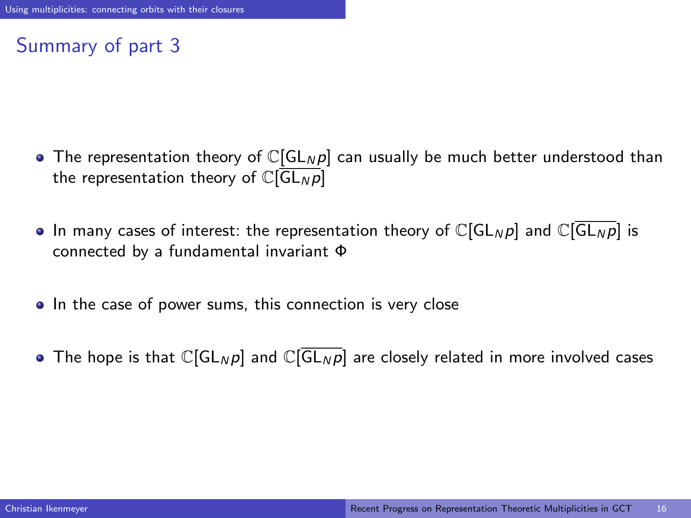# Summary of part 3

- The representation theory of  $\mathbb{C}[GL_N p]$  can usually be much better understood than the representation theory of  $\mathbb{C}[\overline{\mathsf{GL}_N p}]$
- In many cases of interest: the representation theory of  $\mathbb{C}[GL_N p]$  and  $\mathbb{C}[GL_N p]$  is connected by a fundamental invariant Φ
- In the case of power sums, this connection is very close
- <span id="page-15-0"></span>• The hope is that  $\mathbb{C}[GL_N p]$  and  $\mathbb{C}[GL_N p]$  are closely related in more involved cases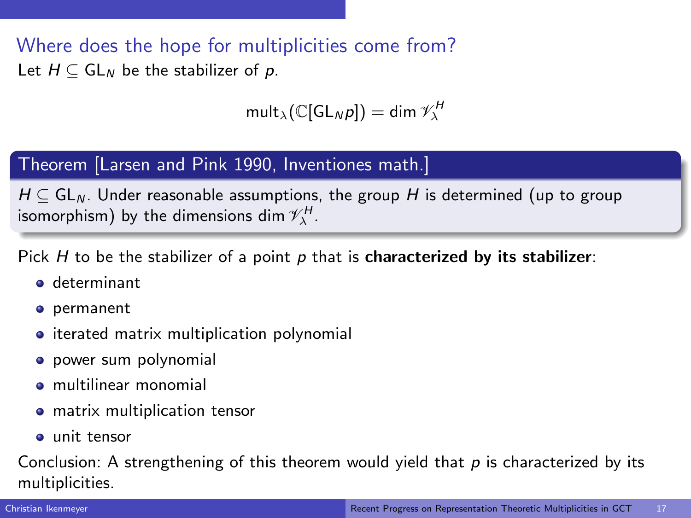Where does the hope for multiplicities come from? Let  $H \subseteq GL_N$  be the stabilizer of p.

$$
\mathsf{mult}_{\lambda}(\mathbb{C}[\mathsf{GL}_N p]) = \dim \mathscr{V}_{\lambda}^H
$$

## Theorem [Larsen and Pink 1990, Inventiones math.]

 $H \subseteq GL_N$ . Under reasonable assumptions, the group H is determined (up to group isomorphism) by the dimensions dim  $\mathscr{V}_{\lambda}^{H}.$ 

Pick H to be the stabilizer of a point p that is **characterized by its stabilizer**:

- **o** determinant
- permanent
- iterated matrix multiplication polynomial
- **•** power sum polynomial
- multilinear monomial
- **•** matrix multiplication tensor
- **a** unit tensor

Conclusion: A strengthening of this theorem would yield that  $p$  is characterized by its multiplicities.